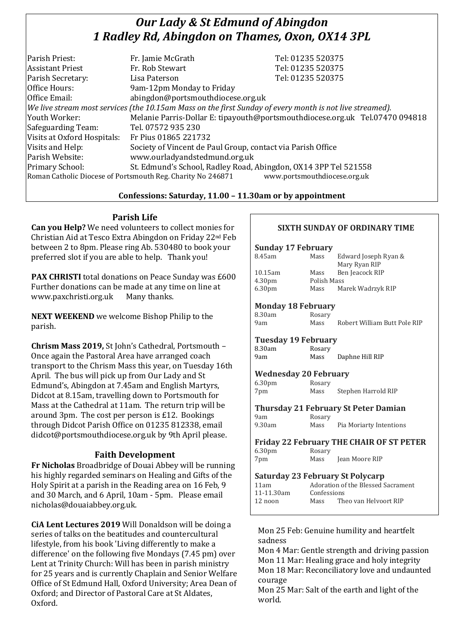# *Our Lady & St Edmund of Abingdon 1 Radley Rd, Abingdon on Thames, Oxon, OX14 3PL*

| Parish Priest:                                                                                           | Fr. Jamie McGrath                                               | Tel: 01235 520375                                                            |  |
|----------------------------------------------------------------------------------------------------------|-----------------------------------------------------------------|------------------------------------------------------------------------------|--|
| <b>Assistant Priest</b>                                                                                  | Fr. Rob Stewart                                                 | Tel: 01235 520375                                                            |  |
| Parish Secretary:                                                                                        | Lisa Paterson                                                   | Tel: 01235 520375                                                            |  |
| Office Hours:                                                                                            | 9am-12pm Monday to Friday                                       |                                                                              |  |
| Office Email:                                                                                            | abingdon@portsmouthdiocese.org.uk                               |                                                                              |  |
| We live stream most services (the 10.15am Mass on the first Sunday of every month is not live streamed). |                                                                 |                                                                              |  |
| Youth Worker:                                                                                            |                                                                 | Melanie Parris-Dollar E: tipayouth@portsmouthdiocese.org.uk Tel.07470 094818 |  |
| Safeguarding Team:                                                                                       | Tel. 07572 935 230                                              |                                                                              |  |
| Visits at Oxford Hospitals:                                                                              | Fr Pius 01865 221732                                            |                                                                              |  |
| Visits and Help:                                                                                         | Society of Vincent de Paul Group, contact via Parish Office     |                                                                              |  |
| Parish Website:                                                                                          | www.ourladyandstedmund.org.uk                                   |                                                                              |  |
| Primary School:                                                                                          | St. Edmund's School, Radley Road, Abingdon, OX14 3PP Tel 521558 |                                                                              |  |
|                                                                                                          | Roman Catholic Diocese of Portsmouth Reg. Charity No 246871     | www.portsmouthdiocese.org.uk                                                 |  |
|                                                                                                          |                                                                 |                                                                              |  |

## **Confessions: Saturday, 11.00 – 11.30am or by appointment**

# **Parish Life**

**Can you Help?** We need volunteers to collect monies for Christian Aid at Tesco Extra Abingdon on Friday 22nd Feb between 2 to 8pm. Please ring Ab. 530480 to book your preferred slot if you are able to help. Thank you!

**PAX CHRISTI** total donations on Peace Sunday was £600 Further donations can be made at any time on line at www.paxchristi.org.uk Many thanks.

**NEXT WEEKEND** we welcome Bishop Philip to the parish.

**Chrism Mass 2019,** St John's Cathedral, Portsmouth – Once again the Pastoral Area have arranged coach transport to the Chrism Mass this year, on Tuesday 16th April. The bus will pick up from Our Lady and St Edmund's, Abingdon at 7.45am and English Martyrs, Didcot at 8.15am, travelling down to Portsmouth for Mass at the Cathedral at 11am. The return trip will be around 3pm. The cost per person is £12. Bookings through Didcot Parish Office on 01235 812338, email didcot@portsmouthdiocese.org.uk by 9th April please.

# **Faith Development**

**Fr Nicholas** Broadbridge of Douai Abbey will be running his highly regarded seminars on Healing and Gifts of the Holy Spirit at a parish in the Reading area on 16 Feb, 9 and 30 March, and 6 April, 10am - 5pm. Please email nicholas@douaiabbey.org.uk.

**CiA Lent Lectures 2019** Will Donaldson will be doing a series of talks on the beatitudes and countercultural lifestyle, from his book 'Living differently to make a difference' on the following five Mondays (7.45 pm) over Lent at Trinity Church: Will has been in parish ministry for 25 years and is currently Chaplain and Senior Welfare Office of St Edmund Hall, Oxford University; Area Dean of Oxford; and Director of Pastoral Care at St Aldates, Oxford.

# **SIXTH SUNDAY OF ORDINARY TIME**

| <b>Sunday 17 February</b> |             |                      |  |  |  |  |
|---------------------------|-------------|----------------------|--|--|--|--|
| 8.45am                    | Mass        | Edward Joseph Ryan & |  |  |  |  |
|                           |             | Mary Ryan RIP        |  |  |  |  |
| 10.15am                   | Mass        | Ben Jeacock RIP      |  |  |  |  |
| 4.30 <sub>pm</sub>        | Polish Mass |                      |  |  |  |  |
| 6.30pm                    | Mass        | Marek Wadrzyk RIP    |  |  |  |  |
|                           |             |                      |  |  |  |  |

#### **Monday 18 February**

| 8.30am | Rosary |                              |
|--------|--------|------------------------------|
| 9am    | Mass   | Robert William Butt Pole RIP |

# **Tuesday 19 February**

Rosary 9am Mass Daphne Hill RIP

# **Wednesday 20 February**

| 6.30 <sub>pm</sub> | Rosary |                     |
|--------------------|--------|---------------------|
| 7pm                | Mass   | Stephen Harrold RIP |

#### **Thursday 21 February St Peter Damian** 9am Rosary 9.30am Mass Pia Moriarty Intentions

#### **Friday 22 February THE CHAIR OF ST PETER** 6.30pm Rosary

7pm Mass Jean Moore RIP

# **Saturday 23 February St Polycarp**

| Mass |             |                                                             |
|------|-------------|-------------------------------------------------------------|
|      | Confessions | Adoration of the Blessed Sacrament<br>Theo van Helvoort RIP |

## Mon 25 Feb: Genuine humility and heartfelt sadness

Mon 4 Mar: Gentle strength and driving passion Mon 11 Mar: Healing grace and holy integrity Mon 18 Mar: Reconciliatory love and undaunted courage

Mon 25 Mar: Salt of the earth and light of the world.